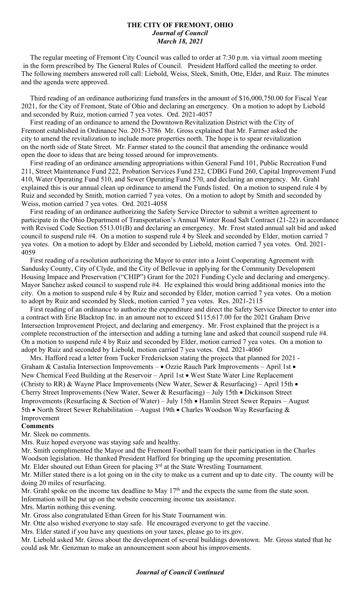## **THE CITY OF FREMONT, OHIO** *Journal of Council March 18, 2021*

 The regular meeting of Fremont City Council was called to order at 7:30 p.m. via virtual zoom meeting in the form prescribed by The General Rules of Council. President Hafford called the meeting to order. The following members answered roll call: Liebold, Weiss, Sleek, Smith, Otte, Elder, and Ruiz. The minutes and the agenda were approved.

 Third reading of an ordinance authorizing fund transfers in the amount of \$16,000,750.00 for Fiscal Year 2021, for the City of Fremont, State of Ohio and declaring an emergency. On a motion to adopt by Liebold and seconded by Ruiz, motion carried 7 yea votes. Ord. 2021-4057

 First reading of an ordinance to amend the Downtown Revitalization District with the City of Fremont established in Ordinance No. 2015-3786 Mr. Gross explained that Mr. Farmer asked the city to amend the revitalization to include more properties north. The hope is to spear revitalization on the north side of State Street. Mr. Farmer stated to the council that amending the ordinance would open the door to ideas that are being tossed around for improvements.

 First reading of an ordinance amending appropriations within General Fund 101, Public Recreation Fund 211, Street Maintenance Fund 222, Probation Services Fund 232, CDBG Fund 260, Capital Improvement Fund 410, Water Operating Fund 510, and Sewer Operating Fund 570, and declaring an emergency. Mr. Grahl explained this is our annual clean up ordinance to amend the Funds listed. On a motion to suspend rule 4 by Ruiz and seconded by Smith, motion carried 7 yea votes. On a motion to adopt by Smith and seconded by Weiss, motion carried 7 yea votes. Ord. 2021-4058

 First reading of an ordinance authorizing the Safety Service Director to submit a written agreement to participate in the Ohio Department of Transportation's Annual Winter Road Salt Contract (21-22) in accordance with Revised Code Section 5513.01(B) and declaring an emergency. Mr. Frost stated annual salt bid and asked council to suspend rule #4. On a motion to suspend rule 4 by Sleek and seconded by Elder, motion carried 7 yea votes. On a motion to adopt by Elder and seconded by Liebold, motion carried 7 yea votes. Ord. 2021- 4059

 First reading of a resolution authorizing the Mayor to enter into a Joint Cooperating Agreement with Sandusky County, City of Clyde, and the City of Bellevue in applying for the Community Development Housing Impace and Preservation ("CHIP") Grant for the 2021 Funding Cycle and declaring and emergency. Mayor Sanchez asked council to suspend rule #4. He explained this would bring additional monies into the city. On a motion to suspend rule 4 by Ruiz and seconded by Elder, motion carried 7 yea votes. On a motion to adopt by Ruiz and seconded by Sleek, motion carried 7 yea votes. Res. 2021-2115

 First reading of an ordinance to authorize the expenditure and direct the Safety Service Director to enter into a contract with Erie Blacktop Inc. in an amount not to exceed \$115,617.00 for the 2021 Graham Drive Intersection Improvement Project, and declaring and emergency. Mr. Frost explained that the project is a complete reconstruction of the intersection and adding a turning lane and asked that council suspend rule #4. On a motion to suspend rule 4 by Ruiz and seconded by Elder, motion carried 7 yea votes. On a motion to adopt by Ruiz and seconded by Liebold, motion carried 7 yea votes. Ord. 2021-4060

 Mrs. Hafford read a letter from Tucker Frederickson stating the projects that planned for 2021 - Graham & Castalia Intersection Improvements -  $\bullet$  Ozzie Rauch Park Improvements - April 1st  $\bullet$ New Chemical Feed Building at the Reservoir – April 1st • West State Water Line Replacement (Christy to RR) & Wayne Place Improvements (New Water, Sewer & Resurfacing) – April 15th • Cherry Street Improvements (New Water, Sewer & Resurfacing) – July 15th • Dickinson Street Improvements (Resurfacing & Section of Water) – July 15th • Hamlin Street Sewer Repairs – August 5th • North Street Sewer Rehabilitation – August 19th • Charles Woodson Way Resurfacing  $\&$ Improvement

## **Comments**

Mr. Sleek no comments.

Mrs. Ruiz hoped everyone was staying safe and healthy.

Mr. Smith complimented the Mayor and the Fremont Football team for their participation in the Charles Woodson legislation. He thanked President Hafford for bringing up the upcoming presentation.

Mr. Elder shouted out Ethan Green for placing 3<sup>rd</sup> at the State Wrestling Tournament.

Mr. Miller stated there is a lot going on in the city to make us a current and up to date city. The county will be doing 20 miles of resurfacing.

Mr. Grahl spoke on the income tax deadline to May  $17<sup>th</sup>$  and the expects the same from the state soon.

Information will be put up on the website concerning income tax assistance.

Mrs. Martin nothing this evening.

Mr. Gross also congratulated Ethan Green for his State Tournament win.

Mr. Otte also wished everyone to stay safe. He encouraged everyone to get the vaccine.

Mrs. Elder stated if you have any questions on your taxes, please go to irs.gov.

Mr. Liebold asked Mr. Gross about the development of several buildings downtown. Mr. Gross stated that he could ask Mr. Genzman to make an announcement soon about his improvements.

## *Journal of Council Continued*